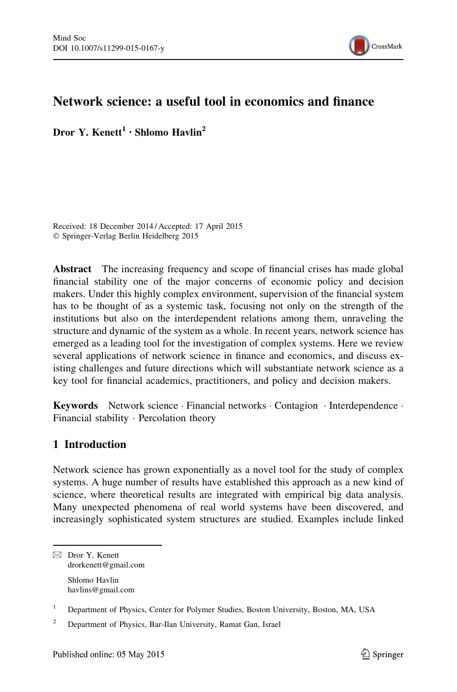

# Network science: a useful tool in economics and finance

Dror Y. Kenett<sup>1</sup> • Shlomo Havlin<sup>2</sup>

Received: 18 December 2014 / Accepted: 17 April 2015 - Springer-Verlag Berlin Heidelberg 2015

Abstract The increasing frequency and scope of financial crises has made global financial stability one of the major concerns of economic policy and decision makers. Under this highly complex environment, supervision of the financial system has to be thought of as a systemic task, focusing not only on the strength of the institutions but also on the interdependent relations among them, unraveling the structure and dynamic of the system as a whole. In recent years, network science has emerged as a leading tool for the investigation of complex systems. Here we review several applications of network science in finance and economics, and discuss existing challenges and future directions which will substantiate network science as a key tool for financial academics, practitioners, and policy and decision makers.

Keywords Network science · Financial networks · Contagion · Interdependence · Financial stability - Percolation theory

### 1 Introduction

Network science has grown exponentially as a novel tool for the study of complex systems. A huge number of results have established this approach as a new kind of science, where theoretical results are integrated with empirical big data analysis. Many unexpected phenomena of real world systems have been discovered, and increasingly sophisticated system structures are studied. Examples include linked

havlins@gmail.com

<sup>&</sup>amp; Dror Y. Kenett drorkenett@gmail.com Shlomo Havlin

<sup>&</sup>lt;sup>1</sup> Department of Physics, Center for Polymer Studies, Boston University, Boston, MA, USA

<sup>&</sup>lt;sup>2</sup> Department of Physics, Bar-Ilan University, Ramat Gan, Israel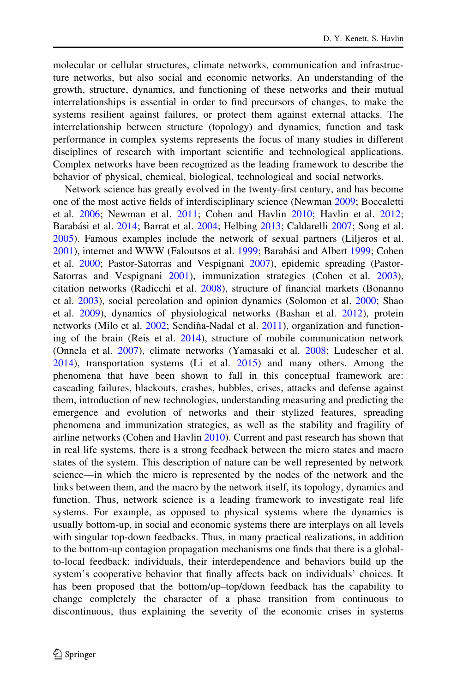molecular or cellular structures, climate networks, communication and infrastructure networks, but also social and economic networks. An understanding of the growth, structure, dynamics, and functioning of these networks and their mutual interrelationships is essential in order to find precursors of changes, to make the systems resilient against failures, or protect them against external attacks. The interrelationship between structure (topology) and dynamics, function and task performance in complex systems represents the focus of many studies in different disciplines of research with important scientific and technological applications. Complex networks have been recognized as the leading framework to describe the behavior of physical, chemical, biological, technological and social networks.

Network science has greatly evolved in the twenty-first century, and has become one of the most active fields of interdisciplinary science (Newman [2009;](#page-11-0) Boccaletti et al. [2006](#page-9-0); Newman et al. [2011](#page-11-0); Cohen and Havlin [2010](#page-9-0); Havlin et al. [2012;](#page-10-0) Barabási et al. [2014](#page-9-0); Barrat et al. [2004](#page-9-0); Helbing [2013](#page-10-0); Caldarelli [2007;](#page-9-0) Song et al. [2005\)](#page-12-0). Famous examples include the network of sexual partners (Liljeros et al. [2001\)](#page-11-0), internet and WWW (Faloutsos et al. [1999](#page-10-0); Barabási and Albert [1999;](#page-9-0) Cohen et al. [2000](#page-9-0); Pastor-Satorras and Vespignani [2007](#page-11-0)), epidemic spreading (Pastor-Satorras and Vespignani [2001](#page-11-0)), immunization strategies (Cohen et al. [2003\)](#page-9-0), citation networks (Radicchi et al. [2008](#page-11-0)), structure of financial markets (Bonanno et al. [2003](#page-9-0)), social percolation and opinion dynamics (Solomon et al. [2000;](#page-12-0) Shao et al. [2009](#page-12-0)), dynamics of physiological networks (Bashan et al. [2012\)](#page-9-0), protein networks (Milo et al. [2002](#page-11-0); Sendiña-Nadal et al. [2011\)](#page-12-0), organization and functioning of the brain (Reis et al. [2014\)](#page-11-0), structure of mobile communication network (Onnela et al. [2007](#page-11-0)), climate networks (Yamasaki et al. [2008;](#page-12-0) Ludescher et al. [2014\)](#page-11-0), transportation systems (Li et al. [2015\)](#page-11-0) and many others. Among the phenomena that have been shown to fall in this conceptual framework are: cascading failures, blackouts, crashes, bubbles, crises, attacks and defense against them, introduction of new technologies, understanding measuring and predicting the emergence and evolution of networks and their stylized features, spreading phenomena and immunization strategies, as well as the stability and fragility of airline networks (Cohen and Havlin [2010\)](#page-9-0). Current and past research has shown that in real life systems, there is a strong feedback between the micro states and macro states of the system. This description of nature can be well represented by network science—in which the micro is represented by the nodes of the network and the links between them, and the macro by the network itself, its topology, dynamics and function. Thus, network science is a leading framework to investigate real life systems. For example, as opposed to physical systems where the dynamics is usually bottom-up, in social and economic systems there are interplays on all levels with singular top-down feedbacks. Thus, in many practical realizations, in addition to the bottom-up contagion propagation mechanisms one finds that there is a globalto-local feedback: individuals, their interdependence and behaviors build up the system's cooperative behavior that finally affects back on individuals' choices. It has been proposed that the bottom/up–top/down feedback has the capability to change completely the character of a phase transition from continuous to discontinuous, thus explaining the severity of the economic crises in systems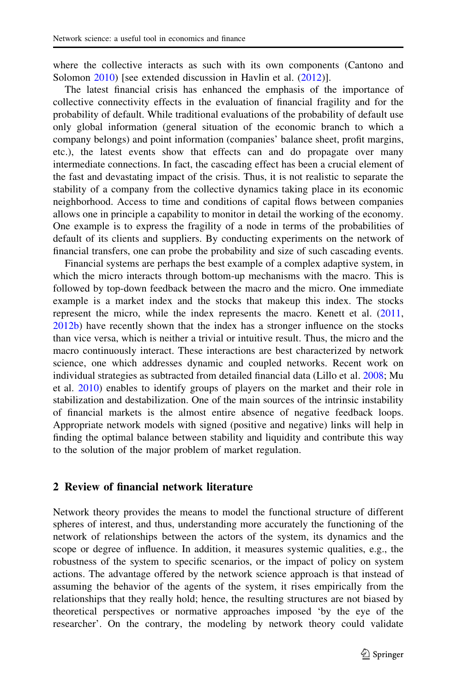where the collective interacts as such with its own components (Cantono and Solomon [2010](#page-9-0)) [see extended discussion in Havlin et al. ([2012\)](#page-10-0)].

The latest financial crisis has enhanced the emphasis of the importance of collective connectivity effects in the evaluation of financial fragility and for the probability of default. While traditional evaluations of the probability of default use only global information (general situation of the economic branch to which a company belongs) and point information (companies' balance sheet, profit margins, etc.), the latest events show that effects can and do propagate over many intermediate connections. In fact, the cascading effect has been a crucial element of the fast and devastating impact of the crisis. Thus, it is not realistic to separate the stability of a company from the collective dynamics taking place in its economic neighborhood. Access to time and conditions of capital flows between companies allows one in principle a capability to monitor in detail the working of the economy. One example is to express the fragility of a node in terms of the probabilities of default of its clients and suppliers. By conducting experiments on the network of financial transfers, one can probe the probability and size of such cascading events.

Financial systems are perhaps the best example of a complex adaptive system, in which the micro interacts through bottom-up mechanisms with the macro. This is followed by top-down feedback between the macro and the micro. One immediate example is a market index and the stocks that makeup this index. The stocks represent the micro, while the index represents the macro. Kenett et al. ([2011,](#page-10-0) [2012b\)](#page-10-0) have recently shown that the index has a stronger influence on the stocks than vice versa, which is neither a trivial or intuitive result. Thus, the micro and the macro continuously interact. These interactions are best characterized by network science, one which addresses dynamic and coupled networks. Recent work on individual strategies as subtracted from detailed financial data (Lillo et al. [2008](#page-11-0); Mu et al. [2010](#page-11-0)) enables to identify groups of players on the market and their role in stabilization and destabilization. One of the main sources of the intrinsic instability of financial markets is the almost entire absence of negative feedback loops. Appropriate network models with signed (positive and negative) links will help in finding the optimal balance between stability and liquidity and contribute this way to the solution of the major problem of market regulation.

#### 2 Review of financial network literature

Network theory provides the means to model the functional structure of different spheres of interest, and thus, understanding more accurately the functioning of the network of relationships between the actors of the system, its dynamics and the scope or degree of influence. In addition, it measures systemic qualities, e.g., the robustness of the system to specific scenarios, or the impact of policy on system actions. The advantage offered by the network science approach is that instead of assuming the behavior of the agents of the system, it rises empirically from the relationships that they really hold; hence, the resulting structures are not biased by theoretical perspectives or normative approaches imposed 'by the eye of the researcher'. On the contrary, the modeling by network theory could validate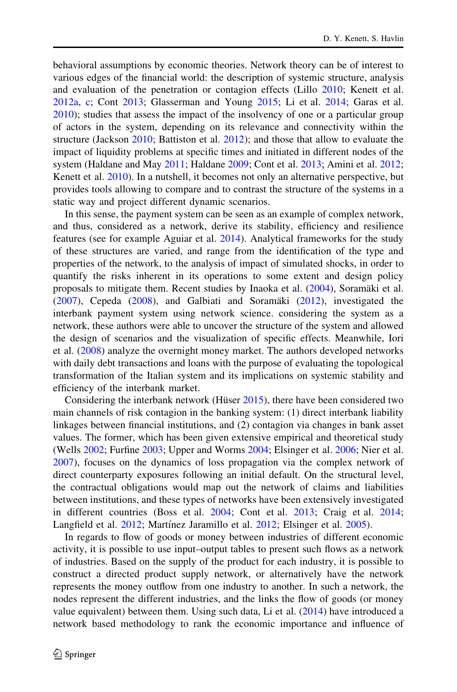behavioral assumptions by economic theories. Network theory can be of interest to various edges of the financial world: the description of systemic structure, analysis and evaluation of the penetration or contagion effects (Lillo [2010;](#page-11-0) Kenett et al. [2012a](#page-10-0), [c;](#page-10-0) Cont [2013](#page-9-0); Glasserman and Young [2015](#page-10-0); Li et al. [2014;](#page-11-0) Garas et al. [2010\)](#page-10-0); studies that assess the impact of the insolvency of one or a particular group of actors in the system, depending on its relevance and connectivity within the structure (Jackson [2010;](#page-10-0) Battiston et al. [2012](#page-9-0)); and those that allow to evaluate the impact of liquidity problems at specific times and initiated in different nodes of the system (Haldane and May [2011](#page-10-0); Haldane [2009](#page-10-0); Cont et al. [2013](#page-9-0); Amini et al. [2012;](#page-9-0) Kenett et al. [2010](#page-10-0)). In a nutshell, it becomes not only an alternative perspective, but provides tools allowing to compare and to contrast the structure of the systems in a static way and project different dynamic scenarios.

In this sense, the payment system can be seen as an example of complex network, and thus, considered as a network, derive its stability, efficiency and resilience features (see for example Aguiar et al. [2014\)](#page-9-0). Analytical frameworks for the study of these structures are varied, and range from the identification of the type and properties of the network, to the analysis of impact of simulated shocks, in order to quantify the risks inherent in its operations to some extent and design policy proposals to mitigate them. Recent studies by Inaoka et al.  $(2004)$  $(2004)$  $(2004)$ , Soramäki et al.  $(2007)$  $(2007)$ , Cepeda  $(2008)$  $(2008)$ , and Galbiati and Soramäki  $(2012)$  $(2012)$ , investigated the interbank payment system using network science. considering the system as a network, these authors were able to uncover the structure of the system and allowed the design of scenarios and the visualization of specific effects. Meanwhile, Iori et al. ([2008\)](#page-10-0) analyze the overnight money market. The authors developed networks with daily debt transactions and loans with the purpose of evaluating the topological transformation of the Italian system and its implications on systemic stability and efficiency of the interbank market.

Considering the interbank network (Hüser  $2015$ ), there have been considered two main channels of risk contagion in the banking system: (1) direct interbank liability linkages between financial institutions, and (2) contagion via changes in bank asset values. The former, which has been given extensive empirical and theoretical study (Wells [2002](#page-12-0); Furfine [2003;](#page-10-0) Upper and Worms [2004](#page-12-0); Elsinger et al. [2006](#page-10-0); Nier et al. [2007\)](#page-11-0), focuses on the dynamics of loss propagation via the complex network of direct counterparty exposures following an initial default. On the structural level, the contractual obligations would map out the network of claims and liabilities between institutions, and these types of networks have been extensively investigated in different countries (Boss et al. [2004](#page-9-0); Cont et al. [2013;](#page-9-0) Craig et al. [2014;](#page-9-0) Langfield et al. [2012](#page-11-0); Martínez Jaramillo et al. 2012; Elsinger et al. [2005\)](#page-10-0).

In regards to flow of goods or money between industries of different economic activity, it is possible to use input–output tables to present such flows as a network of industries. Based on the supply of the product for each industry, it is possible to construct a directed product supply network, or alternatively have the network represents the money outflow from one industry to another. In such a network, the nodes represent the different industries, and the links the flow of goods (or money value equivalent) between them. Using such data, Li et al. [\(2014](#page-11-0)) have introduced a network based methodology to rank the economic importance and influence of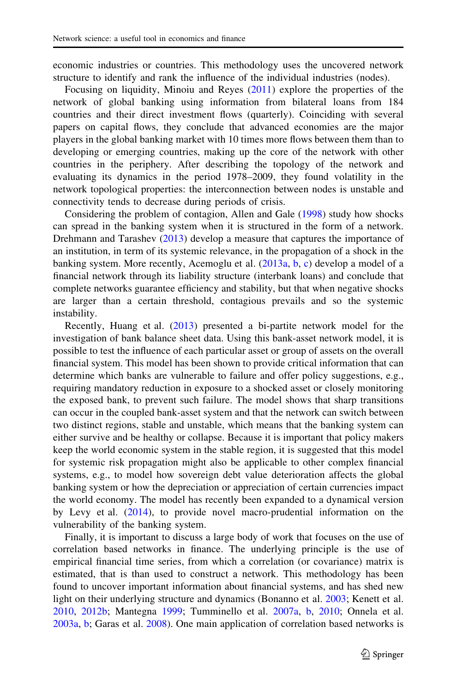economic industries or countries. This methodology uses the uncovered network structure to identify and rank the influence of the individual industries (nodes).

Focusing on liquidity, Minoiu and Reyes ([2011\)](#page-11-0) explore the properties of the network of global banking using information from bilateral loans from 184 countries and their direct investment flows (quarterly). Coinciding with several papers on capital flows, they conclude that advanced economies are the major players in the global banking market with 10 times more flows between them than to developing or emerging countries, making up the core of the network with other countries in the periphery. After describing the topology of the network and evaluating its dynamics in the period 1978–2009, they found volatility in the network topological properties: the interconnection between nodes is unstable and connectivity tends to decrease during periods of crisis.

Considering the problem of contagion, Allen and Gale [\(1998](#page-9-0)) study how shocks can spread in the banking system when it is structured in the form of a network. Drehmann and Tarashev ([2013\)](#page-10-0) develop a measure that captures the importance of an institution, in term of its systemic relevance, in the propagation of a shock in the banking system. More recently, Acemoglu et al. [\(2013a,](#page-8-0) [b](#page-8-0), [c\)](#page-8-0) develop a model of a financial network through its liability structure (interbank loans) and conclude that complete networks guarantee efficiency and stability, but that when negative shocks are larger than a certain threshold, contagious prevails and so the systemic instability.

Recently, Huang et al. ([2013\)](#page-10-0) presented a bi-partite network model for the investigation of bank balance sheet data. Using this bank-asset network model, it is possible to test the influence of each particular asset or group of assets on the overall financial system. This model has been shown to provide critical information that can determine which banks are vulnerable to failure and offer policy suggestions, e.g., requiring mandatory reduction in exposure to a shocked asset or closely monitoring the exposed bank, to prevent such failure. The model shows that sharp transitions can occur in the coupled bank-asset system and that the network can switch between two distinct regions, stable and unstable, which means that the banking system can either survive and be healthy or collapse. Because it is important that policy makers keep the world economic system in the stable region, it is suggested that this model for systemic risk propagation might also be applicable to other complex financial systems, e.g., to model how sovereign debt value deterioration affects the global banking system or how the depreciation or appreciation of certain currencies impact the world economy. The model has recently been expanded to a dynamical version by Levy et al. ([2014\)](#page-11-0), to provide novel macro-prudential information on the vulnerability of the banking system.

Finally, it is important to discuss a large body of work that focuses on the use of correlation based networks in finance. The underlying principle is the use of empirical financial time series, from which a correlation (or covariance) matrix is estimated, that is than used to construct a network. This methodology has been found to uncover important information about financial systems, and has shed new light on their underlying structure and dynamics (Bonanno et al. [2003](#page-9-0); Kenett et al. [2010,](#page-10-0) [2012b](#page-10-0); Mantegna [1999;](#page-11-0) Tumminello et al. [2007a](#page-12-0), [b](#page-12-0), [2010;](#page-12-0) Onnela et al. [2003a](#page-11-0), [b;](#page-11-0) Garas et al. [2008\)](#page-10-0). One main application of correlation based networks is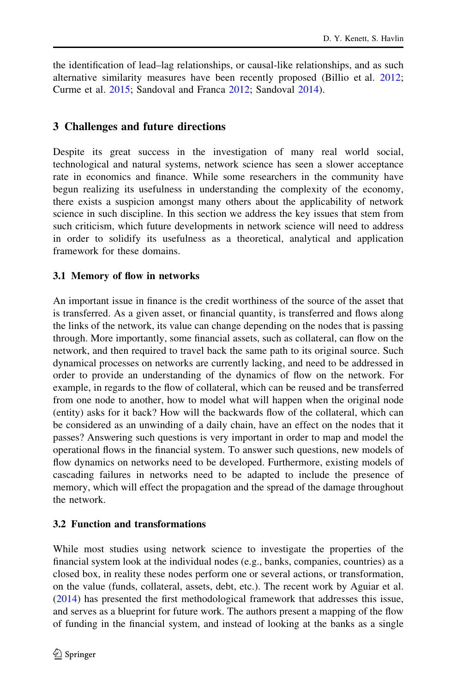the identification of lead–lag relationships, or causal-like relationships, and as such alternative similarity measures have been recently proposed (Billio et al. [2012;](#page-9-0) Curme et al. [2015](#page-10-0); Sandoval and Franca [2012](#page-11-0); Sandoval [2014\)](#page-12-0).

## 3 Challenges and future directions

Despite its great success in the investigation of many real world social, technological and natural systems, network science has seen a slower acceptance rate in economics and finance. While some researchers in the community have begun realizing its usefulness in understanding the complexity of the economy, there exists a suspicion amongst many others about the applicability of network science in such discipline. In this section we address the key issues that stem from such criticism, which future developments in network science will need to address in order to solidify its usefulness as a theoretical, analytical and application framework for these domains.

### 3.1 Memory of flow in networks

An important issue in finance is the credit worthiness of the source of the asset that is transferred. As a given asset, or financial quantity, is transferred and flows along the links of the network, its value can change depending on the nodes that is passing through. More importantly, some financial assets, such as collateral, can flow on the network, and then required to travel back the same path to its original source. Such dynamical processes on networks are currently lacking, and need to be addressed in order to provide an understanding of the dynamics of flow on the network. For example, in regards to the flow of collateral, which can be reused and be transferred from one node to another, how to model what will happen when the original node (entity) asks for it back? How will the backwards flow of the collateral, which can be considered as an unwinding of a daily chain, have an effect on the nodes that it passes? Answering such questions is very important in order to map and model the operational flows in the financial system. To answer such questions, new models of flow dynamics on networks need to be developed. Furthermore, existing models of cascading failures in networks need to be adapted to include the presence of memory, which will effect the propagation and the spread of the damage throughout the network.

### 3.2 Function and transformations

While most studies using network science to investigate the properties of the financial system look at the individual nodes (e.g., banks, companies, countries) as a closed box, in reality these nodes perform one or several actions, or transformation, on the value (funds, collateral, assets, debt, etc.). The recent work by Aguiar et al. [\(2014](#page-9-0)) has presented the first methodological framework that addresses this issue, and serves as a blueprint for future work. The authors present a mapping of the flow of funding in the financial system, and instead of looking at the banks as a single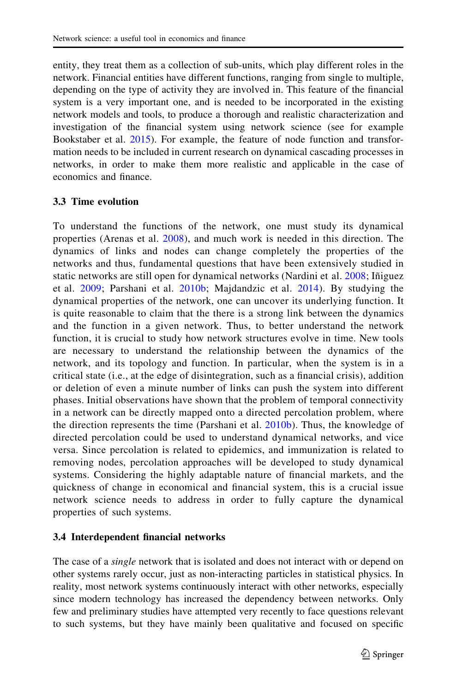entity, they treat them as a collection of sub-units, which play different roles in the network. Financial entities have different functions, ranging from single to multiple, depending on the type of activity they are involved in. This feature of the financial system is a very important one, and is needed to be incorporated in the existing network models and tools, to produce a thorough and realistic characterization and investigation of the financial system using network science (see for example Bookstaber et al. [2015](#page-9-0)). For example, the feature of node function and transformation needs to be included in current research on dynamical cascading processes in networks, in order to make them more realistic and applicable in the case of economics and finance.

#### 3.3 Time evolution

To understand the functions of the network, one must study its dynamical properties (Arenas et al. [2008](#page-9-0)), and much work is needed in this direction. The dynamics of links and nodes can change completely the properties of the networks and thus, fundamental questions that have been extensively studied in static networks are still open for dynamical networks (Nardini et al. [2008](#page-11-0); Iñiguez et al. [2009;](#page-10-0) Parshani et al. [2010b](#page-11-0); Majdandzic et al. [2014\)](#page-11-0). By studying the dynamical properties of the network, one can uncover its underlying function. It is quite reasonable to claim that the there is a strong link between the dynamics and the function in a given network. Thus, to better understand the network function, it is crucial to study how network structures evolve in time. New tools are necessary to understand the relationship between the dynamics of the network, and its topology and function. In particular, when the system is in a critical state (i.e., at the edge of disintegration, such as a financial crisis), addition or deletion of even a minute number of links can push the system into different phases. Initial observations have shown that the problem of temporal connectivity in a network can be directly mapped onto a directed percolation problem, where the direction represents the time (Parshani et al. [2010b\)](#page-11-0). Thus, the knowledge of directed percolation could be used to understand dynamical networks, and vice versa. Since percolation is related to epidemics, and immunization is related to removing nodes, percolation approaches will be developed to study dynamical systems. Considering the highly adaptable nature of financial markets, and the quickness of change in economical and financial system, this is a crucial issue network science needs to address in order to fully capture the dynamical properties of such systems.

#### 3.4 Interdependent financial networks

The case of a *single* network that is isolated and does not interact with or depend on other systems rarely occur, just as non-interacting particles in statistical physics. In reality, most network systems continuously interact with other networks, especially since modern technology has increased the dependency between networks. Only few and preliminary studies have attempted very recently to face questions relevant to such systems, but they have mainly been qualitative and focused on specific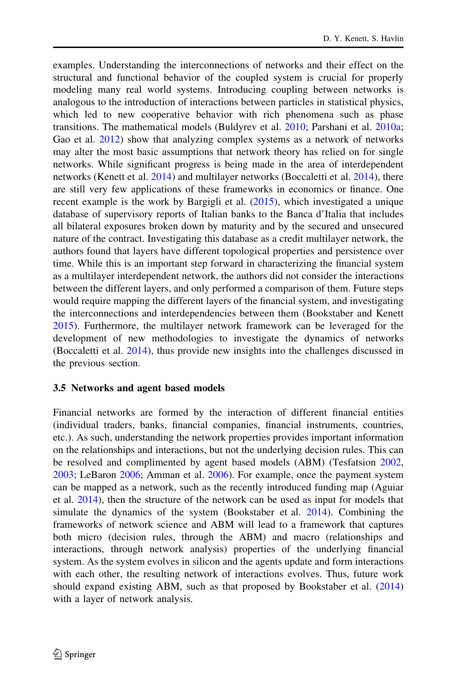examples. Understanding the interconnections of networks and their effect on the structural and functional behavior of the coupled system is crucial for properly modeling many real world systems. Introducing coupling between networks is analogous to the introduction of interactions between particles in statistical physics, which led to new cooperative behavior with rich phenomena such as phase transitions. The mathematical models (Buldyrev et al. [2010;](#page-9-0) Parshani et al. [2010a;](#page-11-0) Gao et al. [2012\)](#page-10-0) show that analyzing complex systems as a network of networks may alter the most basic assumptions that network theory has relied on for single networks. While significant progress is being made in the area of interdependent networks (Kenett et al. [2014](#page-10-0)) and multilayer networks (Boccaletti et al. [2014](#page-9-0)), there are still very few applications of these frameworks in economics or finance. One recent example is the work by Bargigli et al. ([2015\)](#page-9-0), which investigated a unique database of supervisory reports of Italian banks to the Banca d'Italia that includes all bilateral exposures broken down by maturity and by the secured and unsecured nature of the contract. Investigating this database as a credit multilayer network, the authors found that layers have different topological properties and persistence over time. While this is an important step forward in characterizing the financial system as a multilayer interdependent network, the authors did not consider the interactions between the different layers, and only performed a comparison of them. Future steps would require mapping the different layers of the financial system, and investigating the interconnections and interdependencies between them (Bookstaber and Kenett [2015\)](#page-9-0). Furthermore, the multilayer network framework can be leveraged for the development of new methodologies to investigate the dynamics of networks (Boccaletti et al. [2014\)](#page-9-0), thus provide new insights into the challenges discussed in the previous section.

### 3.5 Networks and agent based models

Financial networks are formed by the interaction of different financial entities (individual traders, banks, financial companies, financial instruments, countries, etc.). As such, understanding the network properties provides important information on the relationships and interactions, but not the underlying decision rules. This can be resolved and complimented by agent based models (ABM) (Tesfatsion [2002,](#page-12-0) [2003;](#page-12-0) LeBaron [2006](#page-11-0); Amman et al. [2006\)](#page-9-0). For example, once the payment system can be mapped as a network, such as the recently introduced funding map (Aguiar et al. [2014](#page-9-0)), then the structure of the network can be used as input for models that simulate the dynamics of the system (Bookstaber et al. [2014\)](#page-9-0). Combining the frameworks of network science and ABM will lead to a framework that captures both micro (decision rules, through the ABM) and macro (relationships and interactions, through network analysis) properties of the underlying financial system. As the system evolves in silicon and the agents update and form interactions with each other, the resulting network of interactions evolves. Thus, future work should expand existing ABM, such as that proposed by Bookstaber et al. [\(2014](#page-9-0)) with a layer of network analysis.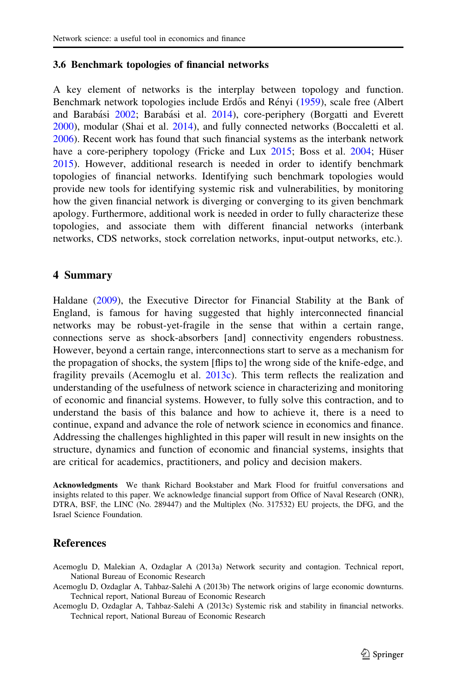#### <span id="page-8-0"></span>3.6 Benchmark topologies of financial networks

A key element of networks is the interplay between topology and function. Benchmark network topologies include Erdős and Rényi [\(1959](#page-10-0)), scale free (Albert and Barabási [2002;](#page-9-0) Barabási et al. [2014\)](#page-9-0), core-periphery (Borgatti and Everett [2000\)](#page-9-0), modular (Shai et al. [2014\)](#page-12-0), and fully connected networks (Boccaletti et al. [2006\)](#page-9-0). Recent work has found that such financial systems as the interbank network have a core-periphery topology (Fricke and Lux [2015;](#page-10-0) Boss et al. [2004](#page-9-0); Hüser [2015\)](#page-10-0). However, additional research is needed in order to identify benchmark topologies of financial networks. Identifying such benchmark topologies would provide new tools for identifying systemic risk and vulnerabilities, by monitoring how the given financial network is diverging or converging to its given benchmark apology. Furthermore, additional work is needed in order to fully characterize these topologies, and associate them with different financial networks (interbank networks, CDS networks, stock correlation networks, input-output networks, etc.).

#### 4 Summary

Haldane ([2009\)](#page-10-0), the Executive Director for Financial Stability at the Bank of England, is famous for having suggested that highly interconnected financial networks may be robust-yet-fragile in the sense that within a certain range, connections serve as shock-absorbers [and] connectivity engenders robustness. However, beyond a certain range, interconnections start to serve as a mechanism for the propagation of shocks, the system [flips to] the wrong side of the knife-edge, and fragility prevails (Acemoglu et al. 2013c). This term reflects the realization and understanding of the usefulness of network science in characterizing and monitoring of economic and financial systems. However, to fully solve this contraction, and to understand the basis of this balance and how to achieve it, there is a need to continue, expand and advance the role of network science in economics and finance. Addressing the challenges highlighted in this paper will result in new insights on the structure, dynamics and function of economic and financial systems, insights that are critical for academics, practitioners, and policy and decision makers.

Acknowledgments We thank Richard Bookstaber and Mark Flood for fruitful conversations and insights related to this paper. We acknowledge financial support from Office of Naval Research (ONR), DTRA, BSF, the LINC (No. 289447) and the Multiplex (No. 317532) EU projects, the DFG, and the Israel Science Foundation.

#### **References**

- Acemoglu D, Malekian A, Ozdaglar A (2013a) Network security and contagion. Technical report, National Bureau of Economic Research
- Acemoglu D, Ozdaglar A, Tahbaz-Salehi A (2013b) The network origins of large economic downturns. Technical report, National Bureau of Economic Research
- Acemoglu D, Ozdaglar A, Tahbaz-Salehi A (2013c) Systemic risk and stability in financial networks. Technical report, National Bureau of Economic Research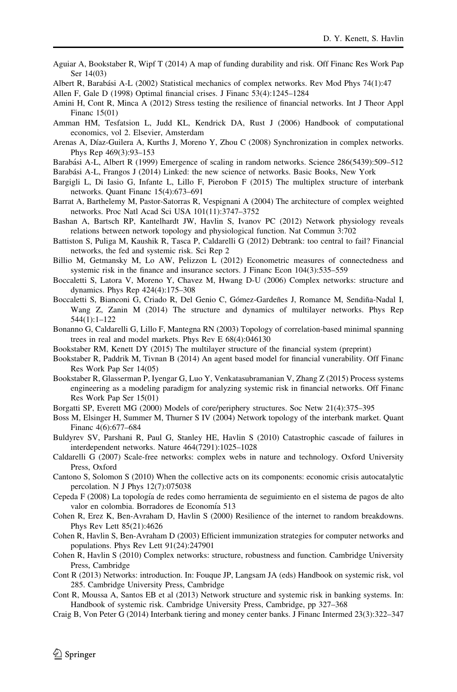- <span id="page-9-0"></span>Aguiar A, Bookstaber R, Wipf T (2014) A map of funding durability and risk. Off Financ Res Work Pap Ser 14(03)
- Albert R, Barabási A-L (2002) Statistical mechanics of complex networks. Rev Mod Phys 74(1):47
- Allen F, Gale D (1998) Optimal financial crises. J Financ 53(4):1245–1284
- Amini H, Cont R, Minca A (2012) Stress testing the resilience of financial networks. Int J Theor Appl Financ 15(01)
- Amman HM, Tesfatsion L, Judd KL, Kendrick DA, Rust J (2006) Handbook of computational economics, vol 2. Elsevier, Amsterdam
- Arenas A, Díaz-Guilera A, Kurths J, Moreno Y, Zhou C (2008) Synchronization in complex networks. Phys Rep 469(3):93–153
- Barabási A-L, Albert R (1999) Emergence of scaling in random networks. Science 286(5439):509-512
- Barabási A-L, Frangos J (2014) Linked: the new science of networks. Basic Books, New York
- Bargigli L, Di Iasio G, Infante L, Lillo F, Pierobon F (2015) The multiplex structure of interbank networks. Quant Financ 15(4):673–691
- Barrat A, Barthelemy M, Pastor-Satorras R, Vespignani A (2004) The architecture of complex weighted networks. Proc Natl Acad Sci USA 101(11):3747–3752
- Bashan A, Bartsch RP, Kantelhardt JW, Havlin S, Ivanov PC (2012) Network physiology reveals relations between network topology and physiological function. Nat Commun 3:702
- Battiston S, Puliga M, Kaushik R, Tasca P, Caldarelli G (2012) Debtrank: too central to fail? Financial networks, the fed and systemic risk. Sci Rep 2
- Billio M, Getmansky M, Lo AW, Pelizzon L (2012) Econometric measures of connectedness and systemic risk in the finance and insurance sectors. J Financ Econ 104(3):535–559
- Boccaletti S, Latora V, Moreno Y, Chavez M, Hwang D-U (2006) Complex networks: structure and dynamics. Phys Rep 424(4):175–308
- Boccaletti S, Bianconi G, Criado R, Del Genio C, Gómez-Gardeñes J, Romance M, Sendiña-Nadal I, Wang Z, Zanin M (2014) The structure and dynamics of multilayer networks. Phys Rep 544(1):1–122
- Bonanno G, Caldarelli G, Lillo F, Mantegna RN (2003) Topology of correlation-based minimal spanning trees in real and model markets. Phys Rev E 68(4):046130
- Bookstaber RM, Kenett DY (2015) The multilayer structure of the financial system (preprint)
- Bookstaber R, Paddrik M, Tivnan B (2014) An agent based model for financial vunerability. Off Financ Res Work Pap Ser 14(05)
- Bookstaber R, Glasserman P, Iyengar G, Luo Y, Venkatasubramanian V, Zhang Z (2015) Process systems engineering as a modeling paradigm for analyzing systemic risk in financial networks. Off Financ Res Work Pap Ser 15(01)
- Borgatti SP, Everett MG (2000) Models of core/periphery structures. Soc Netw 21(4):375–395
- Boss M, Elsinger H, Summer M, Thurner S IV (2004) Network topology of the interbank market. Quant Financ 4(6):677–684
- Buldyrev SV, Parshani R, Paul G, Stanley HE, Havlin S (2010) Catastrophic cascade of failures in interdependent networks. Nature 464(7291):1025–1028
- Caldarelli G (2007) Scale-free networks: complex webs in nature and technology. Oxford University Press, Oxford
- Cantono S, Solomon S (2010) When the collective acts on its components: economic crisis autocatalytic percolation. N J Phys 12(7):075038
- Cepeda F (2008) La topología de redes como herramienta de seguimiento en el sistema de pagos de alto valor en colombia. Borradores de Economía 513
- Cohen R, Erez K, Ben-Avraham D, Havlin S (2000) Resilience of the internet to random breakdowns. Phys Rev Lett 85(21):4626
- Cohen R, Havlin S, Ben-Avraham D (2003) Efficient immunization strategies for computer networks and populations. Phys Rev Lett 91(24):247901
- Cohen R, Havlin S (2010) Complex networks: structure, robustness and function. Cambridge University Press, Cambridge
- Cont R (2013) Networks: introduction. In: Fouque JP, Langsam JA (eds) Handbook on systemic risk, vol 285. Cambridge University Press, Cambridge
- Cont R, Moussa A, Santos EB et al (2013) Network structure and systemic risk in banking systems. In: Handbook of systemic risk. Cambridge University Press, Cambridge, pp 327–368
- Craig B, Von Peter G (2014) Interbank tiering and money center banks. J Financ Intermed 23(3):322–347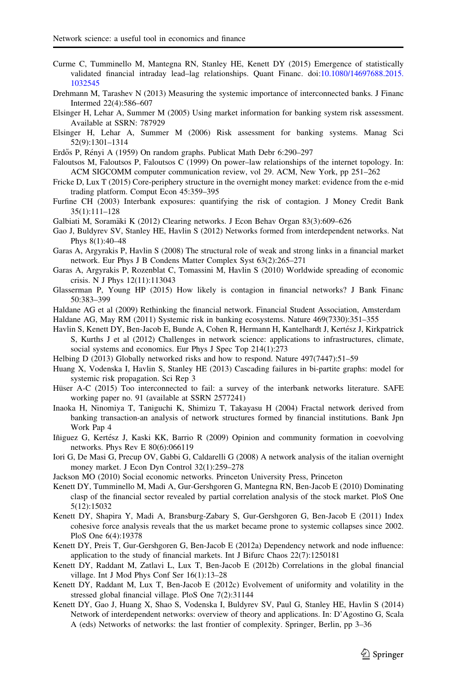- <span id="page-10-0"></span>Curme C, Tumminello M, Mantegna RN, Stanley HE, Kenett DY (2015) Emergence of statistically validated financial intraday lead–lag relationships. Quant Financ. doi:[10.1080/14697688.2015.](http://dx.doi.org/10.1080/14697688.2015.1032545) [1032545](http://dx.doi.org/10.1080/14697688.2015.1032545)
- Drehmann M, Tarashev N (2013) Measuring the systemic importance of interconnected banks. J Financ Intermed 22(4):586–607
- Elsinger H, Lehar A, Summer M (2005) Using market information for banking system risk assessment. Available at SSRN: 787929
- Elsinger H, Lehar A, Summer M (2006) Risk assessment for banking systems. Manag Sci 52(9):1301–1314
- Erdős P, Rényi A (1959) On random graphs. Publicat Math Debr 6:290–297
- Faloutsos M, Faloutsos P, Faloutsos C (1999) On power–law relationships of the internet topology. In: ACM SIGCOMM computer communication review, vol 29. ACM, New York, pp 251–262
- Fricke D, Lux T (2015) Core-periphery structure in the overnight money market: evidence from the e-mid trading platform. Comput Econ 45:359–395
- Furfine CH (2003) Interbank exposures: quantifying the risk of contagion. J Money Credit Bank 35(1):111–128
- Galbiati M, Soramäki K (2012) Clearing networks. J Econ Behav Organ 83(3):609–626
- Gao J, Buldyrev SV, Stanley HE, Havlin S (2012) Networks formed from interdependent networks. Nat Phys 8(1):40–48
- Garas A, Argyrakis P, Havlin S (2008) The structural role of weak and strong links in a financial market network. Eur Phys J B Condens Matter Complex Syst 63(2):265–271
- Garas A, Argyrakis P, Rozenblat C, Tomassini M, Havlin S (2010) Worldwide spreading of economic crisis. N J Phys 12(11):113043
- Glasserman P, Young HP (2015) How likely is contagion in financial networks? J Bank Financ 50:383–399
- Haldane AG et al (2009) Rethinking the financial network. Financial Student Association, Amsterdam
- Haldane AG, May RM (2011) Systemic risk in banking ecosystems. Nature 469(7330):351–355
- Havlin S, Kenett DY, Ben-Jacob E, Bunde A, Cohen R, Hermann H, Kantelhardt J, Kertész J, Kirkpatrick S, Kurths J et al (2012) Challenges in network science: applications to infrastructures, climate, social systems and economics. Eur Phys J Spec Top 214(1):273
- Helbing D (2013) Globally networked risks and how to respond. Nature 497(7447):51–59
- Huang X, Vodenska I, Havlin S, Stanley HE (2013) Cascading failures in bi-partite graphs: model for systemic risk propagation. Sci Rep 3
- Hüser A-C (2015) Too interconnected to fail: a survey of the interbank networks literature. SAFE working paper no. 91 (available at SSRN 2577241)
- Inaoka H, Ninomiya T, Taniguchi K, Shimizu T, Takayasu H (2004) Fractal network derived from banking transaction-an analysis of network structures formed by financial institutions. Bank Jpn Work Pap 4
- Iñiguez G, Kertész J, Kaski KK, Barrio R (2009) Opinion and community formation in coevolving networks. Phys Rev E 80(6):066119
- Iori G, De Masi G, Precup OV, Gabbi G, Caldarelli G (2008) A network analysis of the italian overnight money market. J Econ Dyn Control 32(1):259–278
- Jackson MO (2010) Social economic networks. Princeton University Press, Princeton
- Kenett DY, Tumminello M, Madi A, Gur-Gershgoren G, Mantegna RN, Ben-Jacob E (2010) Dominating clasp of the financial sector revealed by partial correlation analysis of the stock market. PloS One 5(12):15032
- Kenett DY, Shapira Y, Madi A, Bransburg-Zabary S, Gur-Gershgoren G, Ben-Jacob E (2011) Index cohesive force analysis reveals that the us market became prone to systemic collapses since 2002. PloS One 6(4):19378
- Kenett DY, Preis T, Gur-Gershgoren G, Ben-Jacob E (2012a) Dependency network and node influence: application to the study of financial markets. Int J Bifurc Chaos 22(7):1250181
- Kenett DY, Raddant M, Zatlavi L, Lux T, Ben-Jacob E (2012b) Correlations in the global financial village. Int J Mod Phys Conf Ser 16(1):13–28
- Kenett DY, Raddant M, Lux T, Ben-Jacob E (2012c) Evolvement of uniformity and volatility in the stressed global financial village. PloS One 7(2):31144
- Kenett DY, Gao J, Huang X, Shao S, Vodenska I, Buldyrev SV, Paul G, Stanley HE, Havlin S (2014) Network of interdependent networks: overview of theory and applications. In: D'Agostino G, Scala A (eds) Networks of networks: the last frontier of complexity. Springer, Berlin, pp 3–36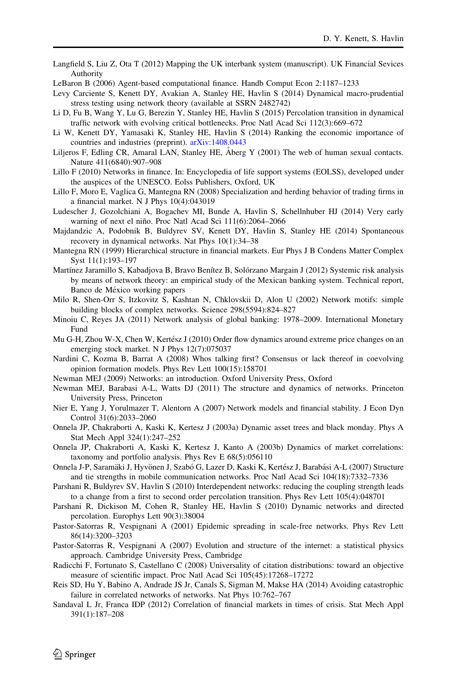<span id="page-11-0"></span>Langfield S, Liu Z, Ota T (2012) Mapping the UK interbank system (manuscript). UK Financial Sevices Authority

LeBaron B (2006) Agent-based computational finance. Handb Comput Econ 2:1187–1233

- Levy Carciente S, Kenett DY, Avakian A, Stanley HE, Havlin S (2014) Dynamical macro-prudential stress testing using network theory (available at SSRN 2482742)
- Li D, Fu B, Wang Y, Lu G, Berezin Y, Stanley HE, Havlin S (2015) Percolation transition in dynamical traffic network with evolving critical bottlenecks. Proc Natl Acad Sci 112(3):669–672
- Li W, Kenett DY, Yamasaki K, Stanley HE, Havlin S (2014) Ranking the economic importance of countries and industries (preprint). [arXiv:1408.0443](http://arxiv.org/abs/1408.0443)
- Liljeros F, Edling CR, Amaral LAN, Stanley HE, Åberg Y (2001) The web of human sexual contacts. Nature 411(6840):907–908
- Lillo F (2010) Networks in finance. In: Encyclopedia of life support systems (EOLSS), developed under the auspices of the UNESCO. Eolss Publishers, Oxford, UK
- Lillo F, Moro E, Vaglica G, Mantegna RN (2008) Specialization and herding behavior of trading firms in a financial market. N J Phys 10(4):043019
- Ludescher J, Gozolchiani A, Bogachev MI, Bunde A, Havlin S, Schellnhuber HJ (2014) Very early warning of next el niño. Proc Natl Acad Sci 111(6):2064–2066
- Majdandzic A, Podobnik B, Buldyrev SV, Kenett DY, Havlin S, Stanley HE (2014) Spontaneous recovery in dynamical networks. Nat Phys 10(1):34–38
- Mantegna RN (1999) Hierarchical structure in financial markets. Eur Phys J B Condens Matter Complex Syst 11(1):193–197
- Martínez Jaramillo S, Kabadjova B, Bravo Benítez B, Solórzano Margain J (2012) Systemic risk analysis by means of network theory: an empirical study of the Mexican banking system. Technical report, Banco de México working papers
- Milo R, Shen-Orr S, Itzkovitz S, Kashtan N, Chklovskii D, Alon U (2002) Network motifs: simple building blocks of complex networks. Science 298(5594):824–827
- Minoiu C, Reyes JA (2011) Network analysis of global banking: 1978–2009. International Monetary Fund
- Mu G-H, Zhou W-X, Chen W, Kertész J (2010) Order flow dynamics around extreme price changes on an emerging stock market. N J Phys 12(7):075037
- Nardini C, Kozma B, Barrat A (2008) Whos talking first? Consensus or lack thereof in coevolving opinion formation models. Phys Rev Lett 100(15):158701
- Newman MEJ (2009) Networks: an introduction. Oxford University Press, Oxford
- Newman MEJ, Barabasi A-L, Watts DJ (2011) The structure and dynamics of networks. Princeton University Press, Princeton
- Nier E, Yang J, Yorulmazer T, Alentorn A (2007) Network models and financial stability. J Econ Dyn Control 31(6):2033–2060
- Onnela JP, Chakraborti A, Kaski K, Kertesz J (2003a) Dynamic asset trees and black monday. Phys A Stat Mech Appl 324(1):247–252
- Onnela JP, Chakraborti A, Kaski K, Kertesz J, Kanto A (2003b) Dynamics of market correlations: taxonomy and portfolio analysis. Phys Rev E 68(5):056110
- Onnela J-P, Saramäki J, Hyvönen J, Szabó G, Lazer D, Kaski K, Kertész J, Barabási A-L (2007) Structure and tie strengths in mobile communication networks. Proc Natl Acad Sci 104(18):7332–7336
- Parshani R, Buldyrev SV, Havlin S (2010) Interdependent networks: reducing the coupling strength leads to a change from a first to second order percolation transition. Phys Rev Lett 105(4):048701
- Parshani R, Dickison M, Cohen R, Stanley HE, Havlin S (2010) Dynamic networks and directed percolation. Europhys Lett 90(3):38004
- Pastor-Satorras R, Vespignani A (2001) Epidemic spreading in scale-free networks. Phys Rev Lett 86(14):3200–3203
- Pastor-Satorras R, Vespignani A (2007) Evolution and structure of the internet: a statistical physics approach. Cambridge University Press, Cambridge
- Radicchi F, Fortunato S, Castellano C (2008) Universality of citation distributions: toward an objective measure of scientific impact. Proc Natl Acad Sci 105(45):17268–17272
- Reis SD, Hu Y, Babino A, Andrade JS Jr, Canals S, Sigman M, Makse HA (2014) Avoiding catastrophic failure in correlated networks of networks. Nat Phys 10:762–767
- Sandaval L Jr, Franca IDP (2012) Correlation of financial markets in times of crisis. Stat Mech Appl 391(1):187–208